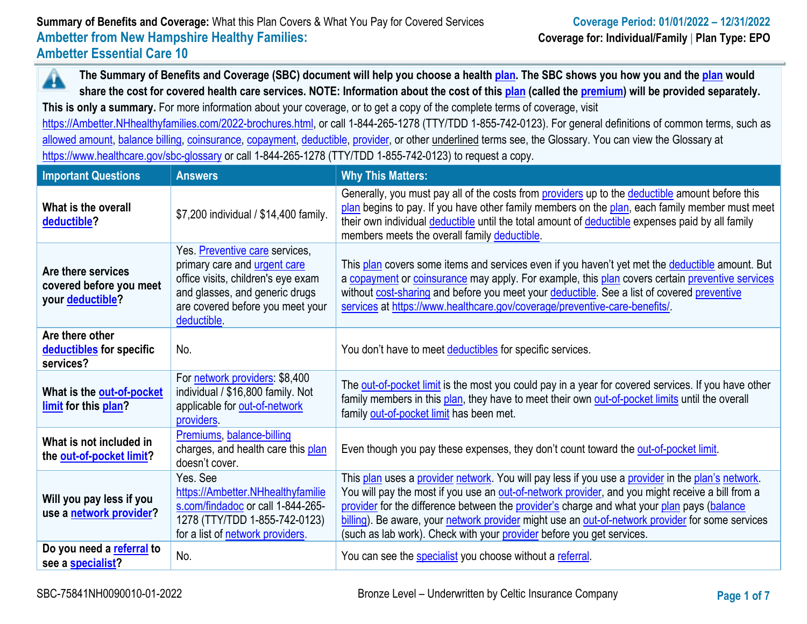**The Summary of Benefits and Coverage (SBC) document will help you choose a health [plan.](https://www.healthcare.gov/sbc-glossary/#plan) The SBC shows you how you and the [plan](https://www.healthcare.gov/sbc-glossary/#plan) would**  Â **share the cost for covered health care services. NOTE: Information about the cost of this [plan](https://www.healthcare.gov/sbc-glossary/#plan) (called the [premium\)](https://www.healthcare.gov/sbc-glossary/#premium) will be provided separately.**

**This is only a summary.** For more information about your coverage, or to get a copy of the complete terms of coverage, visit

[https://Ambetter.NHhealthyfamilies.com/2022-brochures.html,](https://ambetter.nhhealthyfamilies.com/2022-brochures.html) or call 1-844-265-1278 (TTY/TDD 1-855-742-0123). For general definitions of common terms, such as [allowed amount,](https://www.healthcare.gov/sbc-glossary/#allowed-amount) [balance billing,](https://www.healthcare.gov/sbc-glossary/#balance-billing) [coinsurance,](https://www.healthcare.gov/sbc-glossary/#coinsurance) [copayment,](https://www.healthcare.gov/sbc-glossary/#copayment) [deductible,](https://www.healthcare.gov/sbc-glossary/#deductible) [provider,](https://www.healthcare.gov/sbc-glossary/#provider) or other underlined terms see, the Glossary. You can view the Glossary at <https://www.healthcare.gov/sbc-glossary> or call 1-844-265-1278 (TTY/TDD 1-855-742-0123) to request a copy.

| <b>Important Questions</b>                                                | <b>Answers</b>                                                                                                                                                                            | <b>Why This Matters:</b>                                                                                                                                                                                                                                                                                                                                                                                                                                                         |
|---------------------------------------------------------------------------|-------------------------------------------------------------------------------------------------------------------------------------------------------------------------------------------|----------------------------------------------------------------------------------------------------------------------------------------------------------------------------------------------------------------------------------------------------------------------------------------------------------------------------------------------------------------------------------------------------------------------------------------------------------------------------------|
| What is the overall<br>deductible?                                        | \$7,200 individual / \$14,400 family.                                                                                                                                                     | Generally, you must pay all of the costs from providers up to the deductible amount before this<br>plan begins to pay. If you have other family members on the plan, each family member must meet<br>their own individual deductible until the total amount of deductible expenses paid by all family<br>members meets the overall family deductible.                                                                                                                            |
| Are there services<br>covered before you meet<br>your <b>deductible</b> ? | Yes. Preventive care services,<br>primary care and urgent care<br>office visits, children's eye exam<br>and glasses, and generic drugs<br>are covered before you meet your<br>deductible. | This plan covers some items and services even if you haven't yet met the deductible amount. But<br>a copayment or coinsurance may apply. For example, this plan covers certain preventive services<br>without cost-sharing and before you meet your deductible. See a list of covered preventive<br>services at https://www.healthcare.gov/coverage/preventive-care-benefits/                                                                                                    |
| Are there other<br>deductibles for specific<br>services?                  | No.                                                                                                                                                                                       | You don't have to meet deductibles for specific services.                                                                                                                                                                                                                                                                                                                                                                                                                        |
| What is the <b>out-of-pocket</b><br>limit for this plan?                  | For network providers: \$8,400<br>individual / \$16,800 family. Not<br>applicable for out-of-network<br>providers.                                                                        | The out-of-pocket limit is the most you could pay in a year for covered services. If you have other<br>family members in this plan, they have to meet their own out-of-pocket limits until the overall<br>family out-of-pocket limit has been met.                                                                                                                                                                                                                               |
| What is not included in<br>the out-of-pocket limit?                       | Premiums, balance-billing<br>charges, and health care this plan<br>doesn't cover.                                                                                                         | Even though you pay these expenses, they don't count toward the out-of-pocket limit.                                                                                                                                                                                                                                                                                                                                                                                             |
| Will you pay less if you<br>use a network provider?                       | Yes, See<br>https://Ambetter.NHhealthyfamilie<br>s.com/findadoc or call 1-844-265-<br>1278 (TTY/TDD 1-855-742-0123)<br>for a list of network providers.                                   | This plan uses a provider network. You will pay less if you use a provider in the plan's network.<br>You will pay the most if you use an out-of-network provider, and you might receive a bill from a<br>provider for the difference between the provider's charge and what your plan pays (balance<br>billing). Be aware, your network provider might use an out-of-network provider for some services<br>(such as lab work). Check with your provider before you get services. |
| Do you need a referral to<br>see a specialist?                            | No.                                                                                                                                                                                       | You can see the specialist you choose without a referral.                                                                                                                                                                                                                                                                                                                                                                                                                        |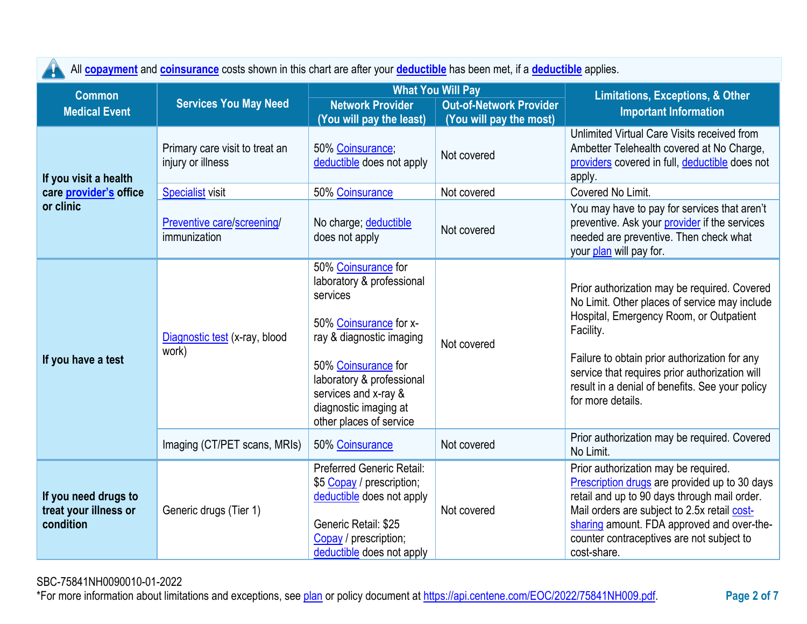|                                                            | All copayment and coinsurance costs shown in this chart are after your deductible has been met, if a deductible applies. |                                                                                                                                                                                                                                                    |                                                                                       |                                                                                                                                                                                                                                                                                                                                  |
|------------------------------------------------------------|--------------------------------------------------------------------------------------------------------------------------|----------------------------------------------------------------------------------------------------------------------------------------------------------------------------------------------------------------------------------------------------|---------------------------------------------------------------------------------------|----------------------------------------------------------------------------------------------------------------------------------------------------------------------------------------------------------------------------------------------------------------------------------------------------------------------------------|
| <b>Common</b><br><b>Medical Event</b>                      | <b>Services You May Need</b>                                                                                             | <b>Network Provider</b><br>(You will pay the least)                                                                                                                                                                                                | <b>What You Will Pay</b><br><b>Out-of-Network Provider</b><br>(You will pay the most) | Limitations, Exceptions, & Other<br><b>Important Information</b>                                                                                                                                                                                                                                                                 |
| If you visit a health                                      | Primary care visit to treat an<br>injury or illness                                                                      | 50% Coinsurance;<br>deductible does not apply                                                                                                                                                                                                      | Not covered                                                                           | Unlimited Virtual Care Visits received from<br>Ambetter Telehealth covered at No Charge,<br>providers covered in full, deductible does not<br>apply.                                                                                                                                                                             |
| care provider's office                                     | <b>Specialist visit</b>                                                                                                  | 50% Coinsurance                                                                                                                                                                                                                                    | Not covered                                                                           | Covered No Limit.                                                                                                                                                                                                                                                                                                                |
| or clinic                                                  | Preventive care/screening/<br>immunization                                                                               | No charge; deductible<br>does not apply                                                                                                                                                                                                            | Not covered                                                                           | You may have to pay for services that aren't<br>preventive. Ask your provider if the services<br>needed are preventive. Then check what<br>your plan will pay for.                                                                                                                                                               |
| If you have a test                                         | Diagnostic test (x-ray, blood<br>work)                                                                                   | 50% Coinsurance for<br>laboratory & professional<br>services<br>50% Coinsurance for x-<br>ray & diagnostic imaging<br>50% Coinsurance for<br>laboratory & professional<br>services and x-ray &<br>diagnostic imaging at<br>other places of service | Not covered                                                                           | Prior authorization may be required. Covered<br>No Limit. Other places of service may include<br>Hospital, Emergency Room, or Outpatient<br>Facility.<br>Failure to obtain prior authorization for any<br>service that requires prior authorization will<br>result in a denial of benefits. See your policy<br>for more details. |
|                                                            | Imaging (CT/PET scans, MRIs)                                                                                             | 50% Coinsurance                                                                                                                                                                                                                                    | Not covered                                                                           | Prior authorization may be required. Covered<br>No Limit.                                                                                                                                                                                                                                                                        |
| If you need drugs to<br>treat your illness or<br>condition | Generic drugs (Tier 1)                                                                                                   | <b>Preferred Generic Retail:</b><br>\$5 Copay / prescription;<br>deductible does not apply<br>Generic Retail: \$25<br>Copay / prescription;<br>deductible does not apply                                                                           | Not covered                                                                           | Prior authorization may be required.<br>Prescription drugs are provided up to 30 days<br>retail and up to 90 days through mail order.<br>Mail orders are subject to 2.5x retail cost-<br>sharing amount. FDA approved and over-the-<br>counter contraceptives are not subject to<br>cost-share.                                  |

All **[copayment](https://www.healthcare.gov/sbc-glossary/#copayment)** and **[coinsurance](https://www.healthcare.gov/sbc-glossary/#coinsurance)** costs shown in this chart are after your **[deductible](https://www.healthcare.gov/sbc-glossary/#deductible)** has been met, if a **[deductible](https://www.healthcare.gov/sbc-glossary/#deductible)** applies.

SBC-75841NH0090010-01-2022

\*For more information about limitations and exceptions, see [plan](https://www.healthcare.gov/sbc-glossary/#plan) or policy document at [https://api.centene.com/EOC/2022/75841NH009.pdf.](https://api.centene.com/EOC/2022/75841NH009.pdf)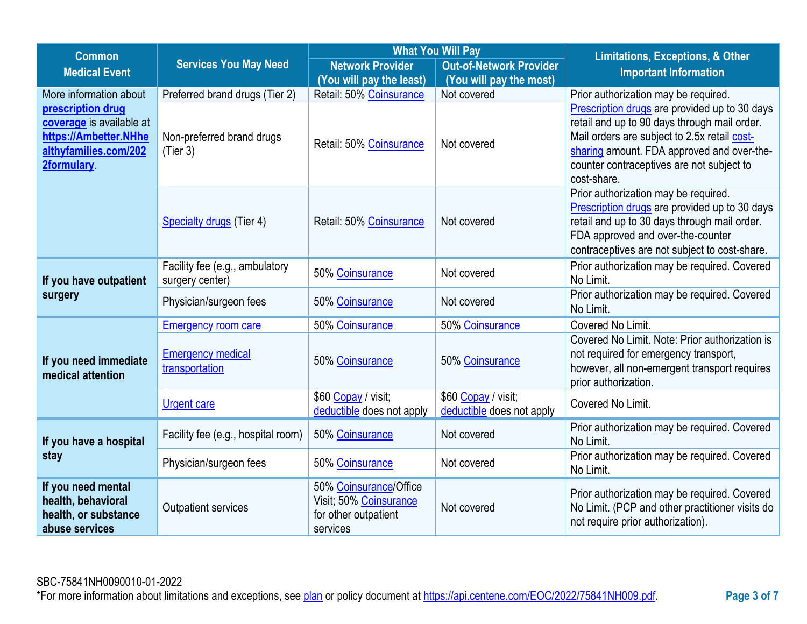| <b>Common</b>                                                                                                                           |                                                                                           | <b>What You Will Pay</b>                                                             |                                                  | <b>Limitations, Exceptions, &amp; Other</b>                                                                                                                                                                                                                                                     |  |
|-----------------------------------------------------------------------------------------------------------------------------------------|-------------------------------------------------------------------------------------------|--------------------------------------------------------------------------------------|--------------------------------------------------|-------------------------------------------------------------------------------------------------------------------------------------------------------------------------------------------------------------------------------------------------------------------------------------------------|--|
| <b>Medical Event</b>                                                                                                                    | <b>Services You May Need</b><br><b>Network Provider</b><br><b>Out-of-Network Provider</b> |                                                                                      | <b>Important Information</b>                     |                                                                                                                                                                                                                                                                                                 |  |
|                                                                                                                                         |                                                                                           | (You will pay the least)                                                             | (You will pay the most)                          |                                                                                                                                                                                                                                                                                                 |  |
| More information about<br>prescription drug<br>coverage is available at<br>https://Ambetter.NHhe<br>althyfamilies.com/202<br>2formulary | Preferred brand drugs (Tier 2)<br>Non-preferred brand drugs<br>(Tier 3)                   | Retail: 50% Coinsurance<br>Retail: 50% Coinsurance                                   | Not covered<br>Not covered                       | Prior authorization may be required.<br>Prescription drugs are provided up to 30 days<br>retail and up to 90 days through mail order.<br>Mail orders are subject to 2.5x retail cost-<br>sharing amount. FDA approved and over-the-<br>counter contraceptives are not subject to<br>cost-share. |  |
|                                                                                                                                         | <b>Specialty drugs (Tier 4)</b>                                                           | Retail: 50% Coinsurance                                                              | Not covered                                      | Prior authorization may be required.<br>Prescription drugs are provided up to 30 days<br>retail and up to 30 days through mail order.<br>FDA approved and over-the-counter<br>contraceptives are not subject to cost-share.                                                                     |  |
| If you have outpatient                                                                                                                  | Facility fee (e.g., ambulatory<br>surgery center)                                         | 50% Coinsurance                                                                      | Not covered                                      | Prior authorization may be required. Covered<br>No Limit.                                                                                                                                                                                                                                       |  |
| surgery                                                                                                                                 | Physician/surgeon fees                                                                    | 50% Coinsurance                                                                      | Not covered                                      | Prior authorization may be required. Covered<br>No Limit.                                                                                                                                                                                                                                       |  |
|                                                                                                                                         | <b>Emergency room care</b>                                                                | 50% Coinsurance                                                                      | 50% Coinsurance                                  | Covered No Limit.                                                                                                                                                                                                                                                                               |  |
| If you need immediate<br>medical attention                                                                                              | <b>Emergency medical</b><br>transportation                                                | 50% Coinsurance                                                                      | 50% Coinsurance                                  | Covered No Limit. Note: Prior authorization is<br>not required for emergency transport,<br>however, all non-emergent transport requires<br>prior authorization.                                                                                                                                 |  |
|                                                                                                                                         | <b>Urgent care</b>                                                                        | \$60 Copay / visit;<br>deductible does not apply                                     | \$60 Copay / visit;<br>deductible does not apply | Covered No Limit.                                                                                                                                                                                                                                                                               |  |
| If you have a hospital                                                                                                                  | Facility fee (e.g., hospital room)                                                        | 50% Coinsurance                                                                      | Not covered                                      | Prior authorization may be required. Covered<br>No Limit.                                                                                                                                                                                                                                       |  |
| stay                                                                                                                                    | Physician/surgeon fees                                                                    | 50% Coinsurance                                                                      | Not covered                                      | Prior authorization may be required. Covered<br>No Limit.                                                                                                                                                                                                                                       |  |
| If you need mental<br>health, behavioral<br>health, or substance<br>abuse services                                                      | <b>Outpatient services</b>                                                                | 50% Coinsurance/Office<br>Visit; 50% Coinsurance<br>for other outpatient<br>services | Not covered                                      | Prior authorization may be required. Covered<br>No Limit. (PCP and other practitioner visits do<br>not require prior authorization).                                                                                                                                                            |  |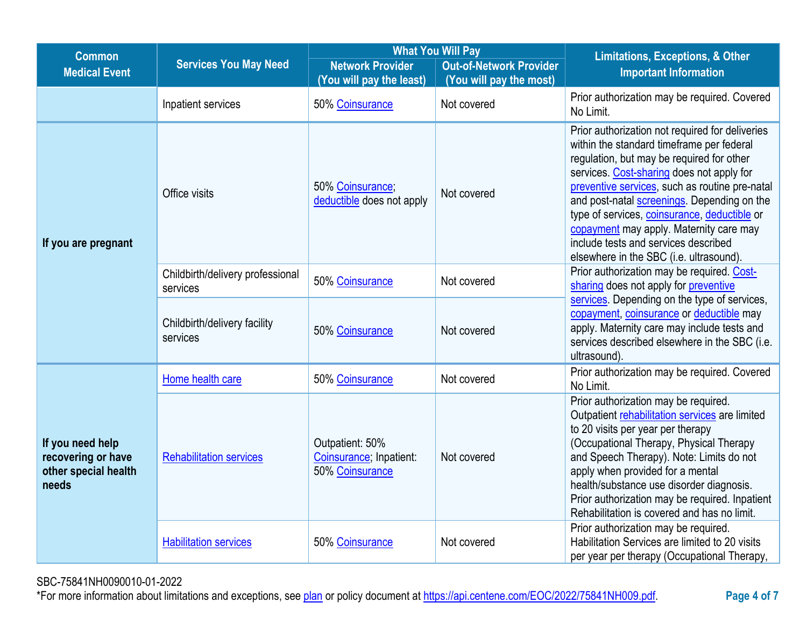| <b>Common</b>                                                           |                                              | <b>What You Will Pay</b>                                      |                                                           | <b>Limitations, Exceptions, &amp; Other</b>                                                                                                                                                                                                                                                                                                                                                                                                                           |  |
|-------------------------------------------------------------------------|----------------------------------------------|---------------------------------------------------------------|-----------------------------------------------------------|-----------------------------------------------------------------------------------------------------------------------------------------------------------------------------------------------------------------------------------------------------------------------------------------------------------------------------------------------------------------------------------------------------------------------------------------------------------------------|--|
| <b>Medical Event</b>                                                    | <b>Services You May Need</b>                 | <b>Network Provider</b><br>(You will pay the least)           | <b>Out-of-Network Provider</b><br>(You will pay the most) | <b>Important Information</b>                                                                                                                                                                                                                                                                                                                                                                                                                                          |  |
|                                                                         | Inpatient services                           | 50% Coinsurance                                               | Not covered                                               | Prior authorization may be required. Covered<br>No Limit.                                                                                                                                                                                                                                                                                                                                                                                                             |  |
| If you are pregnant                                                     | Office visits                                | 50% Coinsurance;<br>deductible does not apply                 | Not covered                                               | Prior authorization not required for deliveries<br>within the standard timeframe per federal<br>regulation, but may be required for other<br>services. Cost-sharing does not apply for<br>preventive services, such as routine pre-natal<br>and post-natal screenings. Depending on the<br>type of services, coinsurance, deductible or<br>copayment may apply. Maternity care may<br>include tests and services described<br>elsewhere in the SBC (i.e. ultrasound). |  |
|                                                                         | Childbirth/delivery professional<br>services | 50% Coinsurance                                               | Not covered                                               | Prior authorization may be required. Cost-<br>sharing does not apply for preventive                                                                                                                                                                                                                                                                                                                                                                                   |  |
|                                                                         | Childbirth/delivery facility<br>services     | 50% Coinsurance                                               | Not covered                                               | services. Depending on the type of services,<br>copayment, coinsurance or deductible may<br>apply. Maternity care may include tests and<br>services described elsewhere in the SBC (i.e.<br>ultrasound).                                                                                                                                                                                                                                                              |  |
|                                                                         | Home health care                             | 50% Coinsurance                                               | Not covered                                               | Prior authorization may be required. Covered<br>No Limit.                                                                                                                                                                                                                                                                                                                                                                                                             |  |
| If you need help<br>recovering or have<br>other special health<br>needs | <b>Rehabilitation services</b>               | Outpatient: 50%<br>Coinsurance; Inpatient:<br>50% Coinsurance | Not covered                                               | Prior authorization may be required.<br>Outpatient rehabilitation services are limited<br>to 20 visits per year per therapy<br>(Occupational Therapy, Physical Therapy<br>and Speech Therapy). Note: Limits do not<br>apply when provided for a mental<br>health/substance use disorder diagnosis.<br>Prior authorization may be required. Inpatient<br>Rehabilitation is covered and has no limit.                                                                   |  |
|                                                                         | <b>Habilitation services</b>                 | 50% Coinsurance                                               | Not covered                                               | Prior authorization may be required.<br>Habilitation Services are limited to 20 visits<br>per year per therapy (Occupational Therapy,                                                                                                                                                                                                                                                                                                                                 |  |

SBC-75841NH0090010-01-2022

\*For more information about limitations and exceptions, see [plan](https://www.healthcare.gov/sbc-glossary/#plan) or policy document at [https://api.centene.com/EOC/2022/75841NH009.pdf.](https://api.centene.com/EOC/2022/75841NH009.pdf)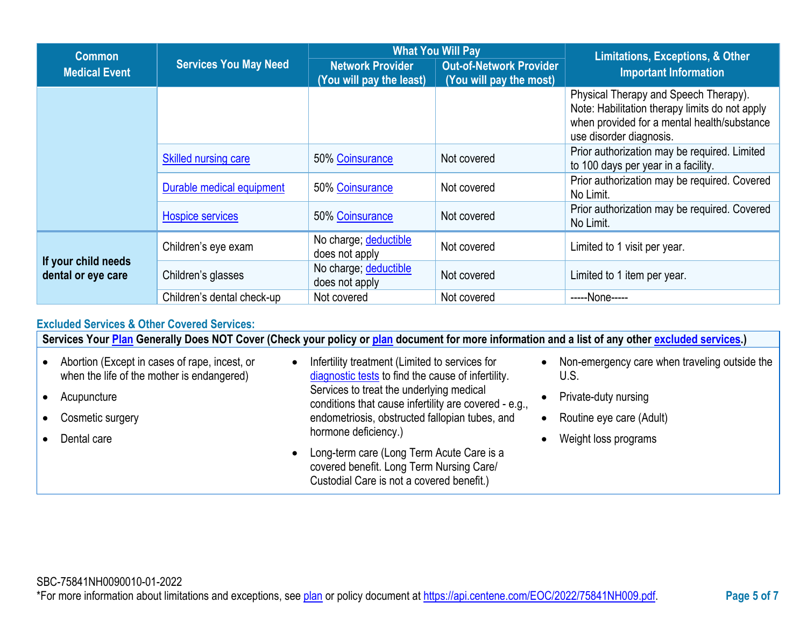| <b>Common</b>                             |                              |                                                                                                                  | <b>What You Will Pay</b> | <b>Limitations, Exceptions, &amp; Other</b>                                                                                                                       |  |
|-------------------------------------------|------------------------------|------------------------------------------------------------------------------------------------------------------|--------------------------|-------------------------------------------------------------------------------------------------------------------------------------------------------------------|--|
| <b>Medical Event</b>                      | <b>Services You May Need</b> | <b>Network Provider</b><br><b>Out-of-Network Provider</b><br>(You will pay the least)<br>(You will pay the most) |                          | <b>Important Information</b>                                                                                                                                      |  |
|                                           |                              |                                                                                                                  |                          | Physical Therapy and Speech Therapy).<br>Note: Habilitation therapy limits do not apply<br>when provided for a mental health/substance<br>use disorder diagnosis. |  |
|                                           | <b>Skilled nursing care</b>  | 50% Coinsurance                                                                                                  | Not covered              | Prior authorization may be required. Limited<br>to 100 days per year in a facility.                                                                               |  |
|                                           | Durable medical equipment    | 50% Coinsurance                                                                                                  | Not covered              | Prior authorization may be required. Covered<br>No Limit.                                                                                                         |  |
|                                           | <b>Hospice services</b>      | 50% Coinsurance                                                                                                  | Not covered              | Prior authorization may be required. Covered<br>No Limit.                                                                                                         |  |
|                                           | Children's eye exam          | No charge; deductible<br>does not apply                                                                          | Not covered              | Limited to 1 visit per year.                                                                                                                                      |  |
| If your child needs<br>dental or eye care | Children's glasses           | No charge; deductible<br>does not apply                                                                          | Not covered              | Limited to 1 item per year.                                                                                                                                       |  |
|                                           | Children's dental check-up   | Not covered                                                                                                      | Not covered              | -----None-----                                                                                                                                                    |  |

# **Excluded Services & Other Covered Services:**

**Services Your [Plan](https://www.healthcare.gov/sbc-glossary/#plan) Generally Does NOT Cover (Check your policy or [plan](https://www.healthcare.gov/sbc-glossary/#plan) document for more information and a list of any other [excluded services.](https://www.healthcare.gov/sbc-glossary/#excluded-services))**

- Abortion (Except in cases of rape, incest, or when the life of the mother is endangered)
- Acupuncture
- Cosmetic surgery
- Dental care
- Infertility treatment (Limited to services for [diagnostic tests](https://www.healthcare.gov/sbc-glossary/#diagnostic-test) to find the cause of infertility. Services to treat the underlying medical conditions that cause infertility are covered - e.g., endometriosis, obstructed fallopian tubes, and hormone deficiency.)
- Long-term care (Long Term Acute Care is a covered benefit. Long Term Nursing Care/ Custodial Care is not a covered benefit.)
- Non-emergency care when traveling outside the U.S.
- Private-duty nursing
- Routine eye care (Adult)
- Weight loss programs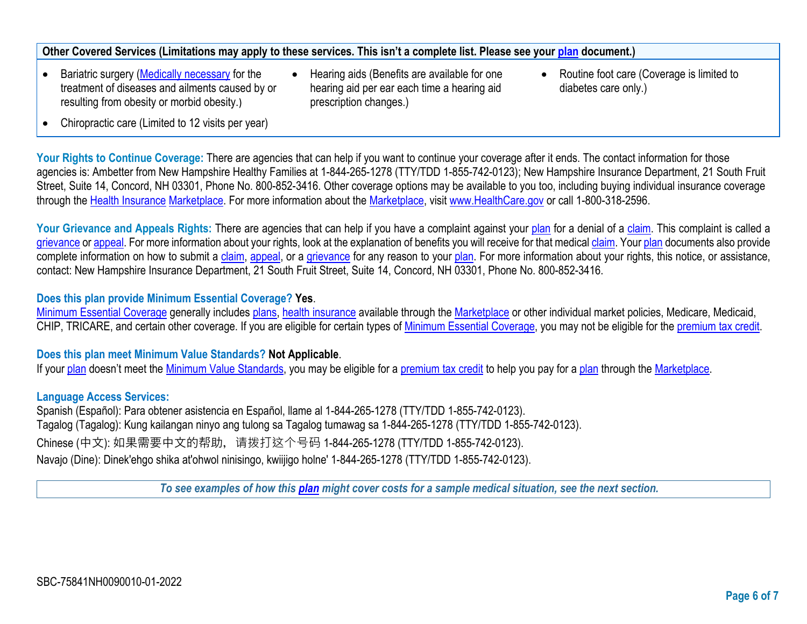# **Other Covered Services (Limitations may apply to these services. This isn't a complete list. Please see your [plan](https://www.healthcare.gov/sbc-glossary/#plan) document.)**

- Bariatric surgery [\(Medically necessary](https://www.healthcare.gov/sbc-glossary/#medically-necessary) for the treatment of diseases and ailments caused by or resulting from obesity or morbid obesity.)
- Hearing aids (Benefits are available for one hearing aid per ear each time a hearing aid prescription changes.)
- Routine foot care (Coverage is limited to diabetes care only.)

• Chiropractic care (Limited to 12 visits per year)

Your Rights to Continue Coverage: There are agencies that can help if you want to continue your coverage after it ends. The contact information for those agencies is: Ambetter from New Hampshire Healthy Families at 1-844-265-1278 (TTY/TDD 1-855-742-0123); New Hampshire Insurance Department, 21 South Fruit Street, Suite 14, Concord, NH 03301, Phone No. 800-852-3416. Other coverage options may be available to you too, including buying individual insurance coverage through the [Health Insurance](https://www.healthcare.gov/sbc-glossary/#health-insurance) [Marketplace.](https://www.healthcare.gov/sbc-glossary/#marketplace) For more information about the [Marketplace,](https://www.healthcare.gov/sbc-glossary/#marketplace) visit [www.HealthCare.gov](http://www.healthcare.gov/) or call 1-800-318-2596.

Your Grievance and Appeals Rights: There are agencies that can help if you have a complaint against your [plan](https://www.healthcare.gov/sbc-glossary/#plan) for a denial of a [claim.](https://www.healthcare.gov/sbc-glossary/#claim) This complaint is called a [grievance](https://www.healthcare.gov/sbc-glossary/#grievance) or [appeal.](https://www.healthcare.gov/sbc-glossary/#appeal) For more information about your rights, look at the explanation of benefits you will receive for that medical [claim.](https://www.healthcare.gov/sbc-glossary/#claim) Your [plan](https://www.healthcare.gov/sbc-glossary/#plan) documents also provide complete information on how to submit a [claim,](https://www.healthcare.gov/sbc-glossary/#claim) [appeal,](https://www.healthcare.gov/sbc-glossary/#appeal) or a [grievance](https://www.healthcare.gov/sbc-glossary/#grievance) for any reason to your [plan.](https://www.healthcare.gov/sbc-glossary/#plan) For more information about your rights, this notice, or assistance, contact: New Hampshire Insurance Department, 21 South Fruit Street, Suite 14, Concord, NH 03301, Phone No. 800-852-3416.

## **Does this plan provide Minimum Essential Coverage? Yes**.

[Minimum Essential Coverage](https://www.healthcare.gov/sbc-glossary/#minimum-essential-coverage) generally includes [plans,](https://www.healthcare.gov/sbc-glossary/#plan) [health insurance](https://www.healthcare.gov/sbc-glossary/#health-insurance) available through the [Marketplace](https://www.healthcare.gov/sbc-glossary/#marketplace) or other individual market policies, Medicare, Medicaid, CHIP, TRICARE, and certain other coverage. If you are eligible for certain types of [Minimum Essential Coverage,](https://www.healthcare.gov/sbc-glossary/#minimum-essential-coverage) you may not be eligible for the [premium tax credit.](https://www.healthcare.gov/sbc-glossary/#premium-tax-credits)

## **Does this plan meet Minimum Value Standards? Not Applicable**.

If your [plan](https://www.healthcare.gov/sbc-glossary/#plan) doesn't meet the [Minimum Value Standards,](https://www.healthcare.gov/sbc-glossary/#minimum-value-standard) you may be eligible for a [premium tax credit](https://www.healthcare.gov/sbc-glossary/#premium-tax-credits) to help you pay for a [plan](https://www.healthcare.gov/sbc-glossary/#plan) through the [Marketplace.](https://www.healthcare.gov/sbc-glossary/#marketplace)

## **Language Access Services:**

Spanish (Español): Para obtener asistencia en Español, llame al 1-844-265-1278 (TTY/TDD 1-855-742-0123). Tagalog (Tagalog): Kung kailangan ninyo ang tulong sa Tagalog tumawag sa 1-844-265-1278 (TTY/TDD 1-855-742-0123). Chinese (中文): 如果需要中文的帮助, 请拨打这个号码 1-844-265-1278 (TTY/TDD 1-855-742-0123). Navajo (Dine): Dinek'ehgo shika at'ohwol ninisingo, kwiijigo holne' 1-844-265-1278 (TTY/TDD 1-855-742-0123).

*To see examples of how this [plan](https://www.healthcare.gov/sbc-glossary/#plan) might cover costs for a sample medical situation, see the next section.*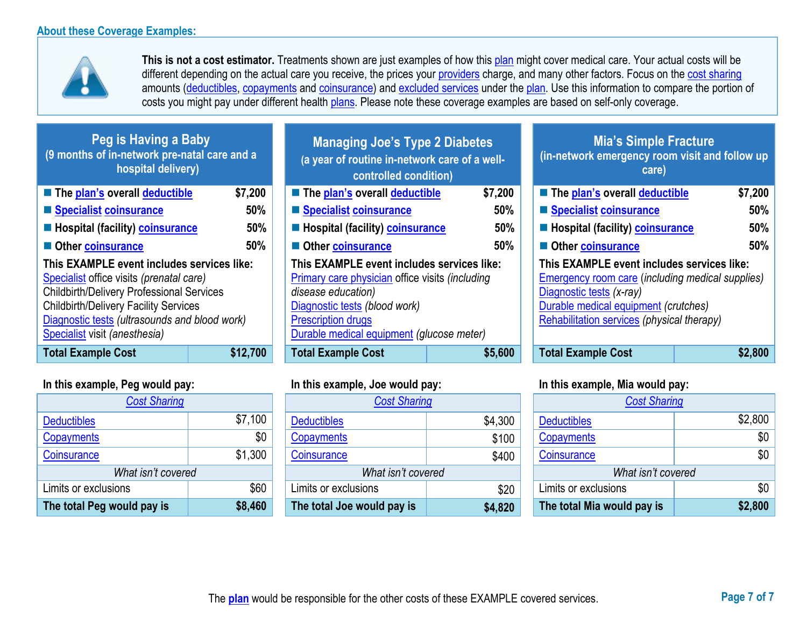

**This is not a cost estimator.** Treatments shown are just examples of how this [plan](https://www.healthcare.gov/sbc-glossary/#plan) might cover medical care. Your actual costs will be different depending on the actual care you receive, the prices your [providers](https://www.healthcare.gov/sbc-glossary/#provider) charge, and many other factors. Focus on the [cost sharing](https://www.healthcare.gov/sbc-glossary/#cost-sharing) amounts [\(deductibles,](https://www.healthcare.gov/sbc-glossary/#deductible) [copayments](https://www.healthcare.gov/sbc-glossary/#copayment) and [coinsurance\)](https://www.healthcare.gov/sbc-glossary/#coinsurance) and [excluded services](https://www.healthcare.gov/sbc-glossary/#excluded-services) under the [plan.](https://www.healthcare.gov/sbc-glossary/#plan) Use this information to compare the portion of costs you might pay under different health [plans.](https://www.healthcare.gov/sbc-glossary/#plan) Please note these coverage examples are based on self-only coverage.

| Peg is Having a Baby<br>(9 months of in-network pre-natal care and a<br>hospital delivery)                                                                                                                                                                                   |          | <b>Managing Joe's Type 2 Diabetes</b><br>(a year of routine in-network care of a well-<br>controlled condition)                                                                                                                       |         | <b>Mia's Simple Fracture</b><br>(in-network emergency room visit and follow up<br>care)                                                                                                                                 |         |
|------------------------------------------------------------------------------------------------------------------------------------------------------------------------------------------------------------------------------------------------------------------------------|----------|---------------------------------------------------------------------------------------------------------------------------------------------------------------------------------------------------------------------------------------|---------|-------------------------------------------------------------------------------------------------------------------------------------------------------------------------------------------------------------------------|---------|
| The plan's overall deductible                                                                                                                                                                                                                                                | \$7,200  | ■ The plan's overall deductible                                                                                                                                                                                                       | \$7,200 | ■ The plan's overall deductible                                                                                                                                                                                         | \$7,200 |
| Specialist coinsurance                                                                                                                                                                                                                                                       | 50%      | Specialist coinsurance                                                                                                                                                                                                                | 50%     | Specialist coinsurance                                                                                                                                                                                                  | 50%     |
| <b>E</b> Hospital (facility) <b>coinsurance</b>                                                                                                                                                                                                                              | 50%      | Hospital (facility) coinsurance                                                                                                                                                                                                       | 50%     | <b>E</b> Hospital (facility) <b>coinsurance</b>                                                                                                                                                                         | 50%     |
| Other coinsurance                                                                                                                                                                                                                                                            | 50%      | Other coinsurance                                                                                                                                                                                                                     | 50%     | Other coinsurance                                                                                                                                                                                                       | 50%     |
| This EXAMPLE event includes services like:<br>Specialist office visits (prenatal care)<br><b>Childbirth/Delivery Professional Services</b><br><b>Childbirth/Delivery Facility Services</b><br>Diagnostic tests (ultrasounds and blood work)<br>Specialist visit (anesthesia) |          | This EXAMPLE event includes services like:<br><b>Primary care physician office visits (including</b><br>disease education)<br>Diagnostic tests (blood work)<br><b>Prescription drugs</b><br>Durable medical equipment (glucose meter) |         | This EXAMPLE event includes services like:<br><b>Emergency room care (including medical supplies)</b><br>Diagnostic tests (x-ray)<br>Durable medical equipment (crutches)<br>Rehabilitation services (physical therapy) |         |
| <b>Total Example Cost</b>                                                                                                                                                                                                                                                    | \$12,700 | <b>Total Example Cost</b>                                                                                                                                                                                                             | \$5,600 | <b>Total Example Cost</b>                                                                                                                                                                                               | \$2,800 |

# **In this example, Peg would pay: In this example, Joe would pay: In this example, Mia would pay:**

| <b>Cost Sharing</b>        |         |
|----------------------------|---------|
| <b>Deductibles</b>         | \$7,100 |
| Copayments                 | \$0     |
| Coinsurance                | \$1,300 |
| What isn't covered         |         |
| Limits or exclusions       | \$60    |
| The total Peg would pay is | \$8,460 |

| <b>Managing Joe's Type 2 Diabetes</b>           |         |  |
|-------------------------------------------------|---------|--|
| (a year of routine in-network care of a well-   |         |  |
| controlled condition)                           |         |  |
| The plan's overall deductible                   | \$7,200 |  |
| ■ Specialist coinsurance                        | 50%     |  |
| ■ Hospital (facility) coinsurance               | 50%     |  |
| Other coinsurance                               | 50%     |  |
| This EXAMPLE event includes services like:      |         |  |
| Primary care physician office visits (including |         |  |
| disease education)                              |         |  |
| Diagnostic tests (blood work)                   |         |  |
| <b>Prescription drugs</b>                       |         |  |
| Durable medical equipment (glucose meter)       |         |  |
| <b>Total Example Cost</b>                       | \$5,600 |  |

| <b>Cost Sharing</b>        |         | <b>Cost Sharing</b>        |         | <b>Cost Sharing</b>        |         |
|----------------------------|---------|----------------------------|---------|----------------------------|---------|
| <b>Deductibles</b>         | \$7,100 | <b>Deductibles</b>         | \$4,300 | <b>Deductibles</b>         | \$2,800 |
| <b>Copayments</b>          | \$0     | Copayments                 | \$100   | Copayments                 | \$0     |
| Coinsurance                | \$1,300 | Coinsurance                | \$400   | Coinsurance                | \$0     |
| What isn't covered         |         | What isn't covered         |         | What isn't covered         |         |
| Limits or exclusions       | \$60    | Limits or exclusions       | \$20    | Limits or exclusions       | \$0     |
| The total Peg would pay is | \$8,460 | The total Joe would pay is | \$4,820 | The total Mia would pay is | \$2,800 |

# **Mia's Simple Fracture (in-network emergency room visit and follow up care)**

| The plan's overall deductible                                                                                                                                                                                    | \$7,200    |
|------------------------------------------------------------------------------------------------------------------------------------------------------------------------------------------------------------------|------------|
| Specialist coinsurance                                                                                                                                                                                           | 50%        |
| <b>E</b> Hospital (facility) coinsurance                                                                                                                                                                         | 50%        |
| Other coinsurance                                                                                                                                                                                                | 50%        |
| This EXAMPLE event includes services like:<br>Emergency room care (including medical supplies)<br>Diagnostic tests (x-ray)<br>Durable medical equipment (crutches)<br>Rehabilitation services (physical therapy) |            |
| Tatal Evampla Caat                                                                                                                                                                                               | <b>onn</b> |

| <b>Cost Sharing</b>        |         |  |
|----------------------------|---------|--|
| <b>Deductibles</b>         | \$2,800 |  |
| Copayments                 | \$0     |  |
| Coinsurance                | \$0     |  |
| What isn't covered         |         |  |
| Limits or exclusions       | \$0     |  |
| The total Mia would pay is | \$2,800 |  |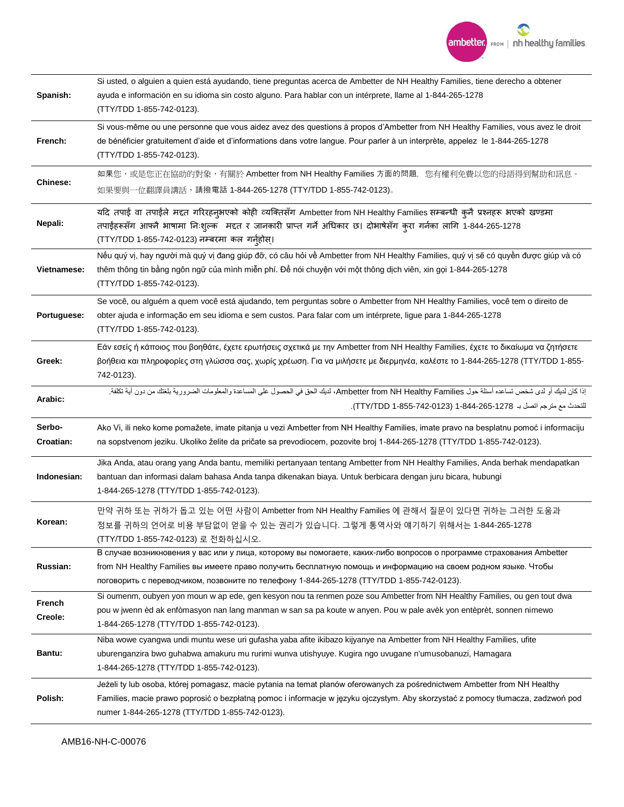

| Spanish:            | Si usted, o alguien a quien está ayudando, tiene preguntas acerca de Ambetter de NH Healthy Families, tiene derecho a obtener<br>ayuda e información en su idioma sin costo alguno. Para hablar con un intérprete, llame al 1-844-265-1278<br>(TTY/TDD 1-855-742-0123).                                                            |
|---------------------|------------------------------------------------------------------------------------------------------------------------------------------------------------------------------------------------------------------------------------------------------------------------------------------------------------------------------------|
| French:             | Si vous-même ou une personne que vous aidez avez des questions à propos d'Ambetter from NH Healthy Families, vous avez le droit<br>de bénéficier gratuitement d'aide et d'informations dans votre langue. Pour parler à un interprète, appelez le 1-844-265-1278<br>(TTY/TDD 1-855-742-0123).                                      |
| Chinese:            | 如果您,或是您正在協助的對象,有關於 Ambetter from NH Healthy Families 方面的問題,您有權利免費以您的母語得到幫助和訊息。<br>如果要與一位翻譯員講話,請撥電話 1-844-265-1278 (TTY/TDD 1-855-742-0123)。                                                                                                                                                                                        |
| Nepali:             | यदि तपाई वा तपाईले मद्दत गरिरहनुभएको कोही व्यक्तिसँग Ambetter from NH Healthy Families सम्बन्धी क्लै प्रश्नहरू भएको खण्डमा<br>तपाईहरूसँग आफ्नै भाषामा निःशुल्क मद्दत र जानकारी प्राप्त गर्ने अधिकार छ। दोभाषेसँग कुरा गर्नका लागि 1-844-265-1278<br>(TTY/TDD 1-855-742-0123) नम्बरमा कल गर्नुहोस्।                                 |
| Vietnamese:         | Nếu quý vị, hay người mà quý vị đang giúp đỡ, có câu hỏi về Ambetter from NH Healthy Families, quý vị sẽ có quyền được giúp và có<br>thêm thông tin bằng ngôn ngữ của mình miễn phí. Để nói chuyện với một thông dịch viên, xin gọi 1-844-265-1278<br>(TTY/TDD 1-855-742-0123).                                                    |
| Portuguese:         | Se você, ou alguém a quem você está ajudando, tem perguntas sobre o Ambetter from NH Healthy Families, você tem o direito de<br>obter ajuda e informação em seu idioma e sem custos. Para falar com um intérprete, ligue para 1-844-265-1278<br>(TTY/TDD 1-855-742-0123).                                                          |
| Greek:              | Εάν εσείς ή κάποιος που βοηθάτε, έχετε ερωτήσεις σχετικά με την Ambetter from NH Healthy Families, έχετε το δικαίωμα να ζητήσετε<br>βοήθεια και πληροφορίες στη γλώσσα σας, χωρίς χρέωση. Για να μιλήσετε με διερμηνέα, καλέστε το 1-844-265-1278 (ΤΤΥ/ΤDD 1-855-<br>742-0123).                                                    |
| Arabic:             | إذا كان لديك أو لدى شخص تساعده أسئلة حول Ambetter from NH Healthy Families، لديك الحق في الحصول على المساعدة والمعلومات الضرورية بلغتك من دون أية تكلفة.<br>للتحدث مع مترجم اتصل بـ 1278-265-1444 (712-742-855-742).                                                                                                               |
| Serbo-<br>Croatian: | Ako Vi, ili neko kome pomažete, imate pitanja u vezi Ambetter from NH Healthy Families, imate pravo na besplatnu pomoć i informaciju<br>na sopstvenom jeziku. Ukoliko želite da pričate sa prevodiocem, pozovite broj 1-844-265-1278 (TTY/TDD 1-855-742-0123).                                                                     |
| Indonesian:         | Jika Anda, atau orang yang Anda bantu, memiliki pertanyaan tentang Ambetter from NH Healthy Families, Anda berhak mendapatkan<br>bantuan dan informasi dalam bahasa Anda tanpa dikenakan biaya. Untuk berbicara dengan juru bicara, hubungi<br>1-844-265-1278 (TTY/TDD 1-855-742-0123).                                            |
| Korean:             | 만약 귀하 또는 귀하가 돕고 있는 어떤 사람이 Ambetter from NH Healthy Families 에 관해서 질문이 있다면 귀하는 그러한 도움과<br>정보를 귀하의 언어로 비용 부담없이 얻을 수 있는 권리가 있습니다. 그렇게 통역사와 얘기하기 위해서는 1-844-265-1278<br>(TTY/TDD 1-855-742-0123) 로 전화하십시오.                                                                                                                             |
| Russian:            | В случае возникновения у вас или у лица, которому вы помогаете, каких-либо вопросов о программе страхования Ambetter<br>from NH Healthy Families вы имеете право получить бесплатную помощь и информацию на своем родном языке. Чтобы<br>поговорить с переводчиком, позвоните по телефону 1-844-265-1278 (TTY/TDD 1-855-742-0123). |
| French<br>Creole:   | Si oumenm, oubyen yon moun w ap ede, gen kesyon nou ta renmen poze sou Ambetter from NH Healthy Families, ou gen tout dwa<br>pou w jwenn èd ak enfòmasyon nan lang manman w san sa pa koute w anyen. Pou w pale avèk yon entèprèt, sonnen nimewo<br>1-844-265-1278 (TTY/TDD 1-855-742-0123).                                       |
| Bantu:              | Niba wowe cyangwa undi muntu wese uri gufasha yaba afite ikibazo kijyanye na Ambetter from NH Healthy Families, ufite<br>uburenganzira bwo guhabwa amakuru mu rurimi wunva utishyuye. Kugira ngo uvugane n'umusobanuzi, Hamagara<br>1-844-265-1278 (TTY/TDD 1-855-742-0123).                                                       |
|                     | Jeżeli ty lub osoba, której pomagasz, macie pytania na temat planów oferowanych za pośrednictwem Ambetter from NH Healthy                                                                                                                                                                                                          |